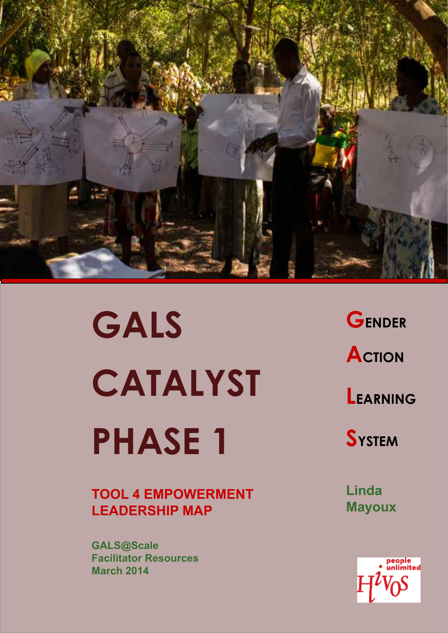

**GALS CATALYST PHASE 1** 

**TOOL 4 EMPOWERMENT LEADERSHIP MAP**

**GALS@Scale Facilitator Resources March 2014**

**GENDER ACTION LEARNING** 

**SYSTEM**

**Linda Mayoux**

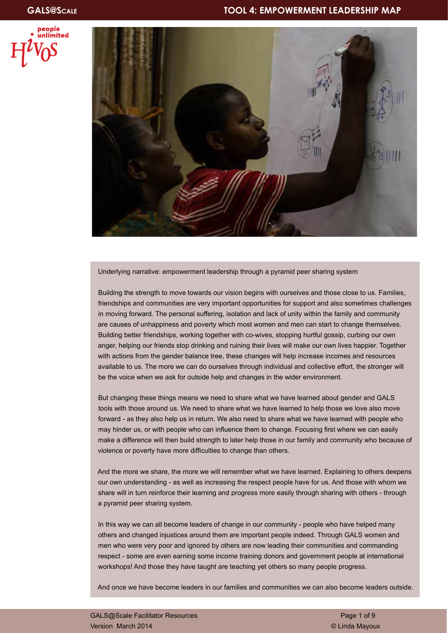



Underlying narrative: empowerment leadership through a pyramid peer sharing system

Building the strength to move towards our vision begins with ourselves and those close to us. Families, friendships and communities are very important opportunities for support and also sometimes challenges in moving forward. The personal suffering, isolation and lack of unity within the family and community are causes of unhappiness and poverty which most women and men can start to change themselves. Building better friendships, working together with co-wives, stopping hurtful gossip, curbing our own anger, helping our friends stop drinking and ruining their lives will make our own lives happier. Together with actions from the gender balance tree, these changes will help increase incomes and resources available to us. The more we can do ourselves through individual and collective effort, the stronger will be the voice when we ask for outside help and changes in the wider environment.

But changing these things means we need to share what we have learned about gender and GALS tools with those around us. We need to share what we have learned to help those we love also move forward - as they also help us in return. We also need to share what we have learned with people who may hinder us, or with people who can influence them to change. Focusing first where we can easily make a difference will then build strength to later help those in our family and community who because of violence or poverty have more difficulties to change than others.

And the more we share, the more we will remember what we have learned. Explaining to others deepens our own understanding - as well as increasing the respect people have for us. And those with whom we share will in turn reinforce their learning and progress more easily through sharing with others - through a pyramid peer sharing system.

In this way we can all become leaders of change in our community - people who have helped many others and changed injustices around them are important people indeed. Through GALS women and men who were very poor and ignored by others are now leading their communities and commanding respect - some are even earning some income training donors and government people at international workshops! And those they have taught are teaching yet others so many people progress.

And once we have become leaders in our families and communities we can also become leaders outside.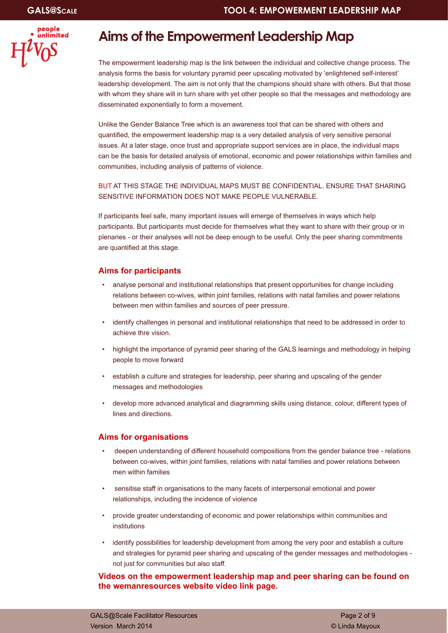

### **Aims of the Empowerment Leadership Map**

The empowerment leadership map is the link between the individual and collective change process. The analysis forms the basis for voluntary pyramid peer upscaling motivated by 'enlightened self-interest' leadership development. The aim is not only that the champions should share with others. But that those with whom they share will in turn share with yet other people so that the messages and methodology are disseminated exponentially to form a movement.

Unlike the Gender Balance Tree which is an awareness tool that can be shared with others and quantified, the empowerment leadership map is a very detailed analysis of very sensitive personal issues. At a later stage, once trust and appropriate support services are in place, the individual maps can be the basis for detailed analysis of emotional, economic and power relationships within families and communities, including analysis of patterns of violence.

#### BUT AT THIS STAGE THE INDIVIDUAL MAPS MUST BE CONFIDENTIAL. ENSURE THAT SHARING SENSITIVE INFORMATION DOES NOT MAKE PEOPLE VULNERABLE.

If participants feel safe, many important issues will emerge of themselves in ways which help participants. But participants must decide for themselves what they want to share with their group or in plenaries - or their analyses will not be deep enough to be useful. Only the peer sharing commitments are quantified at this stage.

#### **Aims for participants**

- analyse personal and institutional relationships that present opportunities for change including relations between co-wives, within joint families, relations with natal families and power relations between men within families and sources of peer pressure.
- identify challenges in personal and institutional relationships that need to be addressed in order to achieve thre vision.
- highlight the importance of pyramid peer sharing of the GALS learnings and methodology in helping people to move forward
- establish a culture and strategies for leadership, peer sharing and upscaling of the gender messages and methodologies
- develop more advanced analytical and diagramming skills using distance, colour, different types of lines and directions.

#### **Aims for organisations**

- deepen understanding of different household compositions from the gender balance tree relations between co-wives, within joint families, relations with natal families and power relations between men within families
- sensitise staff in organisations to the many facets of interpersonal emotional and power relationships, including the incidence of violence
- provide greater understanding of economic and power relationships within communities and institutions
- identify possibilities for leadership development from among the very poor and establish a culture and strategies for pyramid peer sharing and upscaling of the gender messages and methodologies not just for communities but also staff.

**Videos on the empowerment leadership map and peer sharing can be found on the wemanresources website video link page.**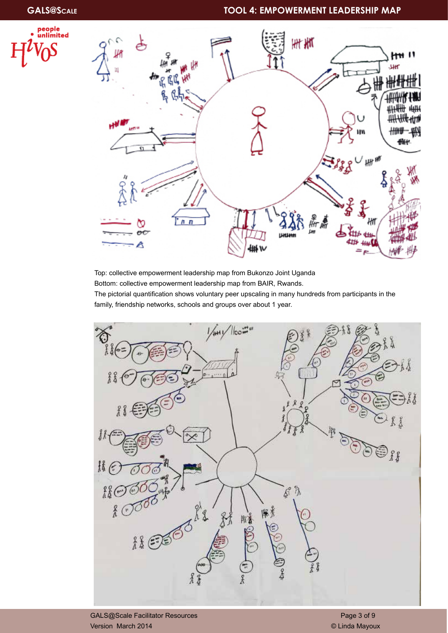### **GALS@Scale TOOL 4: EMPOWERMENT LEADERSHIP MAP**





Top: collective empowerment leadership map from Bukonzo Joint Uganda Bottom: collective empowerment leadership map from BAIR, Rwands.

The pictorial quantification shows voluntary peer upscaling in many hundreds from participants in the family, friendship networks, schools and groups over about 1 year.

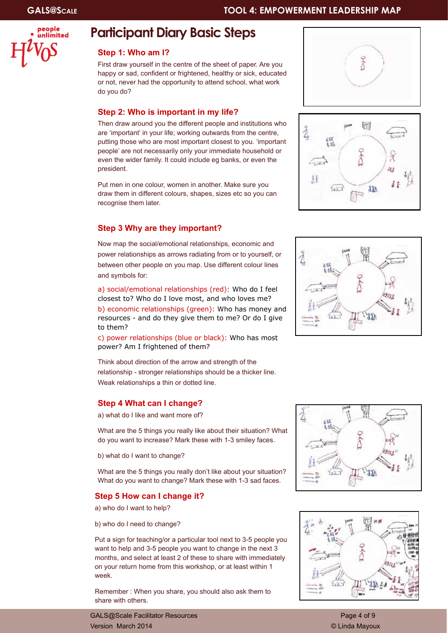

### **Participant Diary Basic Steps**

#### **Step 1: Who am I?**

First draw yourself in the centre of the sheet of paper. Are you happy or sad, confident or frightened, healthy or sick, educated or not, never had the opportunity to attend school, what work do you do?

#### **Step 2: Who is important in my life?**

Then draw around you the different people and institutions who are 'important' in your life; working outwards from the centre, putting those who are most important closest to you. 'important people' are not necessarily only your immediate household or even the wider family. It could include eg banks, or even the president.

Put men in one colour, women in another. Make sure you draw them in different colours, shapes, sizes etc so you can recognise them later.

#### **Step 3 Why are they important?**

Now map the social/emotional relationships, economic and power relationships as arrows radiating from or to yourself, or between other people on you map. Use different colour lines and symbols for:

a) social/emotional relationships (red): Who do I feel closest to? Who do I love most, and who loves me?

b) economic relationships (green): Who has money and resources - and do they give them to me? Or do I give to them?

c) power relationships (blue or black): Who has most power? Am I frightened of them?

Think about direction of the arrow and strength of the relationship - stronger relationships should be a thicker line. Weak relationships a thin or dotted line.

#### **Step 4 What can I change?**

a) what do I like and want more of?

What are the 5 things you really like about their situation? What do you want to increase? Mark these with 1-3 smiley faces.

b) what do I want to change?

What are the 5 things you really don't like about your situation? What do you want to change? Mark these with 1-3 sad faces.

#### **Step 5 How can I change it?**

a) who do I want to help?

b) who do I need to change?

Put a sign for teaching/or a particular tool next to 3-5 people you want to help and 3-5 people you want to change in the next 3 months, and select at least 2 of these to share with immediately on your return home from this workshop, or at least within 1 week.

Remember : When you share, you should also ask them to share with others.

GALS@Scale Facilitator Resources **Page 4 of 9** and 2001 12 and 2008 12 and 2008 12 and 2008 12 and 2008 12 and 20 Version March 2014 © Linda Mayoux









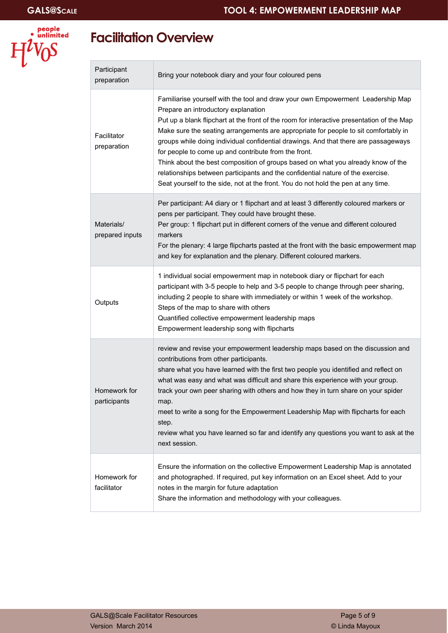

## **Facilitation Overview**

| Participant<br>preparation    | Bring your notebook diary and your four coloured pens                                                                                                                                                                                                                                                                                                                                                                                                                                                                                                                                                                                                                                                                 |
|-------------------------------|-----------------------------------------------------------------------------------------------------------------------------------------------------------------------------------------------------------------------------------------------------------------------------------------------------------------------------------------------------------------------------------------------------------------------------------------------------------------------------------------------------------------------------------------------------------------------------------------------------------------------------------------------------------------------------------------------------------------------|
| Facilitator<br>preparation    | Familiarise yourself with the tool and draw your own Empowerment Leadership Map<br>Prepare an introductory explanation<br>Put up a blank flipchart at the front of the room for interactive presentation of the Map<br>Make sure the seating arrangements are appropriate for people to sit comfortably in<br>groups while doing individual confidential drawings. And that there are passageways<br>for people to come up and contribute from the front.<br>Think about the best composition of groups based on what you already know of the<br>relationships between participants and the confidential nature of the exercise.<br>Seat yourself to the side, not at the front. You do not hold the pen at any time. |
| Materials/<br>prepared inputs | Per participant: A4 diary or 1 flipchart and at least 3 differently coloured markers or<br>pens per participant. They could have brought these.<br>Per group: 1 flipchart put in different corners of the venue and different coloured<br>markers<br>For the plenary: 4 large flipcharts pasted at the front with the basic empowerment map<br>and key for explanation and the plenary. Different coloured markers.                                                                                                                                                                                                                                                                                                   |
| Outputs                       | 1 individual social empowerment map in notebook diary or flipchart for each<br>participant with 3-5 people to help and 3-5 people to change through peer sharing,<br>including 2 people to share with immediately or within 1 week of the workshop.<br>Steps of the map to share with others<br>Quantified collective empowerment leadership maps<br>Empowerment leadership song with flipcharts                                                                                                                                                                                                                                                                                                                      |
| Homework for<br>participants  | review and revise your empowerment leadership maps based on the discussion and<br>contributions from other participants.<br>share what you have learned with the first two people you identified and reflect on<br>what was easy and what was difficult and share this experience with your group.<br>track your own peer sharing with others and how they in turn share on your spider<br>map.<br>meet to write a song for the Empowerment Leadership Map with flipcharts for each<br>step.<br>review what you have learned so far and identify any questions you want to ask at the<br>next session.                                                                                                                |
| Homework for<br>facilitator   | Ensure the information on the collective Empowerment Leadership Map is annotated<br>and photographed. If required, put key information on an Excel sheet. Add to your<br>notes in the margin for future adaptation<br>Share the information and methodology with your colleagues.                                                                                                                                                                                                                                                                                                                                                                                                                                     |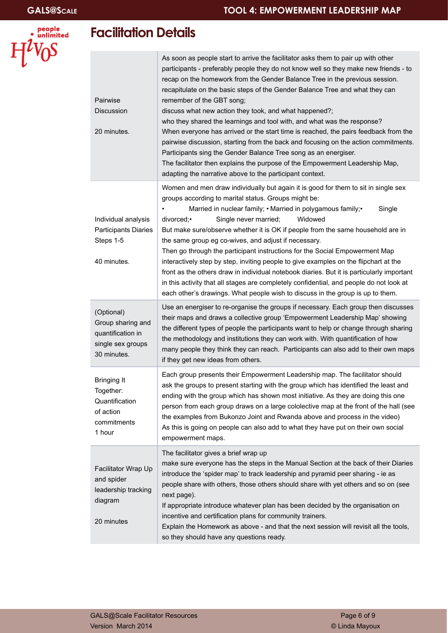

## **Facilitation Details**

| Pairwise<br><b>Discussion</b><br>20 minutes.                                             | As soon as people start to arrive the facilitator asks them to pair up with other<br>participants - preferably people they do not know well so they make new friends - to<br>recap on the homework from the Gender Balance Tree in the previous session.<br>recapitulate on the basic steps of the Gender Balance Tree and what they can<br>remember of the GBT song;<br>discuss what new action they took, and what happened?;<br>who they shared the learnings and tool with, and what was the response?<br>When everyone has arrived or the start time is reached, the pairs feedback from the<br>pairwise discussion, starting from the back and focusing on the action commitments.<br>Participants sing the Gender Balance Tree song as an energiser.<br>The facilitator then explains the purpose of the Empowerment Leadership Map,<br>adapting the narrative above to the participant context. |
|------------------------------------------------------------------------------------------|---------------------------------------------------------------------------------------------------------------------------------------------------------------------------------------------------------------------------------------------------------------------------------------------------------------------------------------------------------------------------------------------------------------------------------------------------------------------------------------------------------------------------------------------------------------------------------------------------------------------------------------------------------------------------------------------------------------------------------------------------------------------------------------------------------------------------------------------------------------------------------------------------------|
| Individual analysis<br><b>Participants Diaries</b><br>Steps 1-5<br>40 minutes.           | Women and men draw individually but again it is good for them to sit in single sex<br>groups according to marital status. Groups might be:<br>Married in nuclear family; • Married in polygamous family; •<br>Single<br>Single never married;<br>Widowed<br>divorced:•<br>But make sure/observe whether it is OK if people from the same household are in<br>the same group eg co-wives, and adjust if necessary.<br>Then go through the participant instructions for the Social Empowerment Map<br>interactively step by step, inviting people to give examples on the flipchart at the<br>front as the others draw in individual notebook diaries. But it is particularly important<br>in this activity that all stages are completely confidential, and people do not look at<br>each other's drawings. What people wish to discuss in the group is up to them.                                      |
| (Optional)<br>Group sharing and<br>quantification in<br>single sex groups<br>30 minutes. | Use an energiser to re-organise the groups if necessary. Each group then discusses<br>their maps and draws a collective group 'Empowerment Leadership Map' showing<br>the different types of people the participants want to help or change through sharing<br>the methodology and institutions they can work with. With quantification of how<br>many people they think they can reach. Participants can also add to their own maps<br>if they get new ideas from others.                                                                                                                                                                                                                                                                                                                                                                                                                              |
| <b>Bringing It</b><br>Together:<br>Quantification<br>of action<br>commitments<br>1 hour  | Each group presents their Empowerment Leadership map. The facilitator should<br>ask the groups to present starting with the group which has identified the least and<br>ending with the group which has shown most initiative. As they are doing this one<br>person from each group draws on a large cololective map at the front of the hall (see<br>the examples from Bukonzo Joint and Rwanda above and process in the video)<br>As this is going on people can also add to what they have put on their own social<br>empowerment maps.                                                                                                                                                                                                                                                                                                                                                              |
| Facilitator Wrap Up<br>and spider<br>leadership tracking<br>diagram<br>20 minutes        | The facilitator gives a brief wrap up<br>make sure everyone has the steps in the Manual Section at the back of their Diaries<br>introduce the 'spider map' to track leadership and pyramid peer sharing - ie as<br>people share with others, those others should share with yet others and so on (see<br>next page).<br>If appropriate introduce whatever plan has been decided by the organisation on<br>incentive and certification plans for community trainers.<br>Explain the Homework as above - and that the next session will revisit all the tools,<br>so they should have any questions ready.                                                                                                                                                                                                                                                                                                |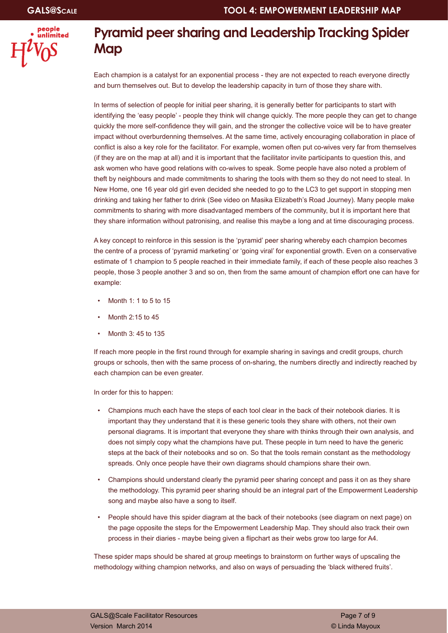

## **Pyramid peer sharing and Leadership Tracking Spider Map**

Each champion is a catalyst for an exponential process - they are not expected to reach everyone directly and burn themselves out. But to develop the leadership capacity in turn of those they share with.

In terms of selection of people for initial peer sharing, it is generally better for participants to start with identifying the 'easy people' - people they think will change quickly. The more people they can get to change quickly the more self-confidence they will gain, and the stronger the collective voice will be to have greater impact without overburdenning themselves. At the same time, actively encouraging collaboration in place of conflict is also a key role for the facilitator. For example, women often put co-wives very far from themselves (if they are on the map at all) and it is important that the facilitator invite participants to question this, and ask women who have good relations with co-wives to speak. Some people have also noted a problem of theft by neighbours and made commitments to sharing the tools with them so they do not need to steal. In New Home, one 16 year old girl even decided she needed to go to the LC3 to get support in stopping men drinking and taking her father to drink (See video on Masika Elizabeth's Road Journey). Many people make commitments to sharing with more disadvantaged members of the community, but it is important here that they share information without patronising, and realise this maybe a long and at time discouraging process.

A key concept to reinforce in this session is the 'pyramid' peer sharing whereby each champion becomes the centre of a process of 'pyramid marketing' or 'going viral' for exponential growth. Even on a conservative estimate of 1 champion to 5 people reached in their immediate family, if each of these people also reaches 3 people, those 3 people another 3 and so on, then from the same amount of champion effort one can have for example:

- Month 1: 1 to 5 to 15
- Month 2:15 to 45
- Month 3: 45 to 135

If reach more people in the first round through for example sharing in savings and credit groups, church groups or schools, then with the same process of on-sharing, the numbers directly and indirectly reached by each champion can be even greater.

In order for this to happen:

- Champions much each have the steps of each tool clear in the back of their notebook diaries. It is important thay they understand that it is these generic tools they share with others, not their own personal diagrams. It is important that everyone they share with thinks through their own analysis, and does not simply copy what the champions have put. These people in turn need to have the generic steps at the back of their notebooks and so on. So that the tools remain constant as the methodology spreads. Only once people have their own diagrams should champions share their own.
- Champions should understand clearly the pyramid peer sharing concept and pass it on as they share the methodology. This pyramid peer sharing should be an integral part of the Empowerment Leadership song and maybe also have a song to itself.
- People should have this spider diagram at the back of their notebooks (see diagram on next page) on the page opposite the steps for the Empowerment Leadership Map. They should also track their own process in their diaries - maybe being given a flipchart as their webs grow too large for A4.

These spider maps should be shared at group meetings to brainstorm on further ways of upscaling the methodology withing champion networks, and also on ways of persuading the 'black withered fruits'.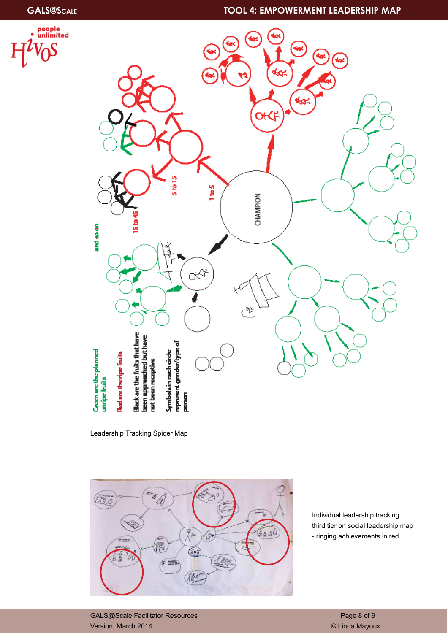### **GALS@Scale TOOL 4: EMPOWERMENT LEADERSHIP MAP**





Leadership Tracking Spider Map



Individual leadership tracking third tier on social leadership map - ringing achievements in red

GALS@Scale Facilitator Resources and Contract Contract Contract Contract Page 8 of 9 Version March 2014 © Linda Mayoux